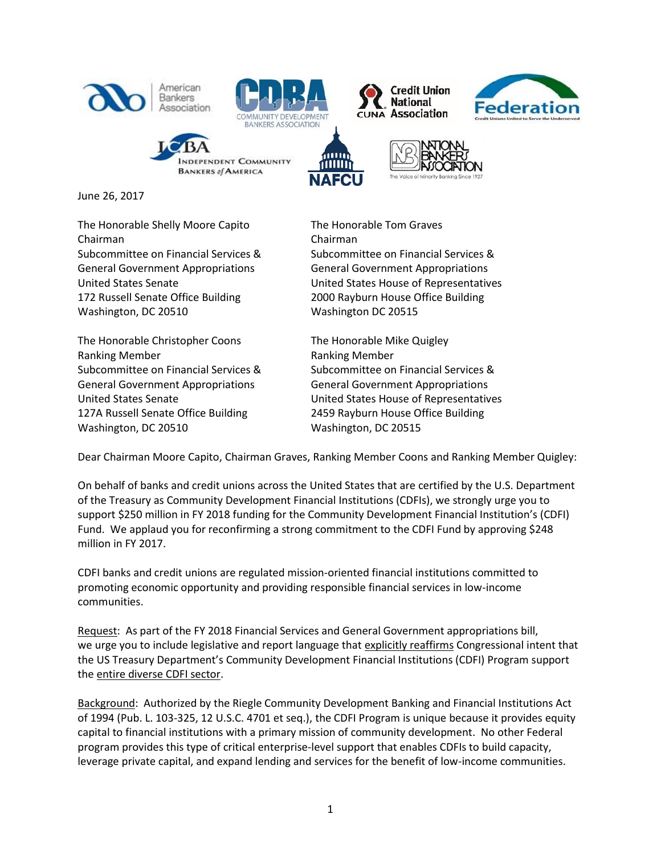

June 26, 2017

The Honorable Shelly Moore Capito<br>
The Honorable Tom Graves Chairman Chairman General Government Appropriations General Government Appropriations 172 Russell Senate Office Building 2000 Rayburn House Office Building Washington, DC 20510 Washington DC 20515

The Honorable Christopher Coons The Honorable Mike Quigley Ranking Member **Ranking Member** Ranking Member General Government Appropriations General Government Appropriations 127A Russell Senate Office Building 2459 Rayburn House Office Building Washington, DC 20510 Washington, DC 20515

Subcommittee on Financial Services & Subcommittee on Financial Services & United States Senate United States House of Representatives

Subcommittee on Financial Services & Subcommittee on Financial Services & United States Senate United States House of Representatives

Dear Chairman Moore Capito, Chairman Graves, Ranking Member Coons and Ranking Member Quigley:

On behalf of banks and credit unions across the United States that are certified by the U.S. Department of the Treasury as Community Development Financial Institutions (CDFIs), we strongly urge you to support \$250 million in FY 2018 funding for the Community Development Financial Institution's (CDFI) Fund. We applaud you for reconfirming a strong commitment to the CDFI Fund by approving \$248 million in FY 2017.

CDFI banks and credit unions are regulated mission-oriented financial institutions committed to promoting economic opportunity and providing responsible financial services in low-income communities.

Request: As part of the FY 2018 Financial Services and General Government appropriations bill, we urge you to include legislative and report language that explicitly reaffirms Congressional intent that the US Treasury Department's Community Development Financial Institutions (CDFI) Program support the entire diverse CDFI sector.

Background: Authorized by the Riegle Community Development Banking and Financial Institutions Act of 1994 (Pub. L. 103-325, 12 U.S.C. 4701 et seq.), the CDFI Program is unique because it provides equity capital to financial institutions with a primary mission of community development. No other Federal program provides this type of critical enterprise-level support that enables CDFIs to build capacity, leverage private capital, and expand lending and services for the benefit of low-income communities.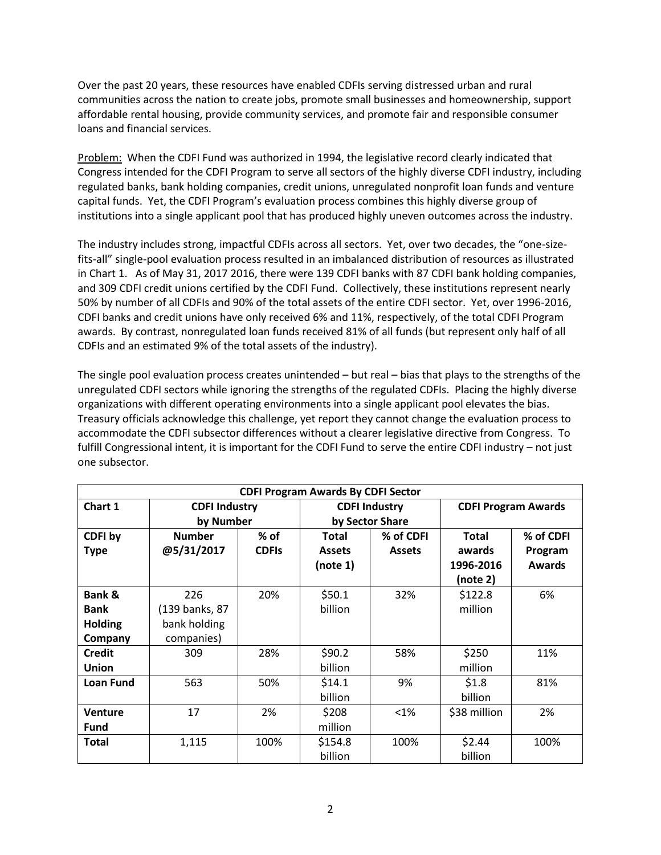Over the past 20 years, these resources have enabled CDFIs serving distressed urban and rural communities across the nation to create jobs, promote small businesses and homeownership, support affordable rental housing, provide community services, and promote fair and responsible consumer loans and financial services.

Problem: When the CDFI Fund was authorized in 1994, the legislative record clearly indicated that Congress intended for the CDFI Program to serve all sectors of the highly diverse CDFI industry, including regulated banks, bank holding companies, credit unions, unregulated nonprofit loan funds and venture capital funds. Yet, the CDFI Program's evaluation process combines this highly diverse group of institutions into a single applicant pool that has produced highly uneven outcomes across the industry.

The industry includes strong, impactful CDFIs across all sectors. Yet, over two decades, the "one-sizefits-all" single-pool evaluation process resulted in an imbalanced distribution of resources as illustrated in Chart 1. As of May 31, 2017 2016, there were 139 CDFI banks with 87 CDFI bank holding companies, and 309 CDFI credit unions certified by the CDFI Fund. Collectively, these institutions represent nearly 50% by number of all CDFIs and 90% of the total assets of the entire CDFI sector. Yet, over 1996-2016, CDFI banks and credit unions have only received 6% and 11%, respectively, of the total CDFI Program awards. By contrast, nonregulated loan funds received 81% of all funds (but represent only half of all CDFIs and an estimated 9% of the total assets of the industry).

The single pool evaluation process creates unintended – but real – bias that plays to the strengths of the unregulated CDFI sectors while ignoring the strengths of the regulated CDFIs. Placing the highly diverse organizations with different operating environments into a single applicant pool elevates the bias. Treasury officials acknowledge this challenge, yet report they cannot change the evaluation process to accommodate the CDFI subsector differences without a clearer legislative directive from Congress. To fulfill Congressional intent, it is important for the CDFI Fund to serve the entire CDFI industry – not just one subsector.

| <b>CDFI Program Awards By CDFI Sector</b> |                      |              |                      |               |                            |               |
|-------------------------------------------|----------------------|--------------|----------------------|---------------|----------------------------|---------------|
| Chart 1                                   | <b>CDFI Industry</b> |              | <b>CDFI Industry</b> |               | <b>CDFI Program Awards</b> |               |
|                                           | by Number            |              | by Sector Share      |               |                            |               |
| CDFI by                                   | <b>Number</b>        | $%$ of       | <b>Total</b>         | % of CDFI     | <b>Total</b>               | % of CDFI     |
| <b>Type</b>                               | @5/31/2017           | <b>CDFIs</b> | <b>Assets</b>        | <b>Assets</b> | awards                     | Program       |
|                                           |                      |              | (note 1)             |               | 1996-2016                  | <b>Awards</b> |
|                                           |                      |              |                      |               | (note 2)                   |               |
| Bank &                                    | 226                  | 20%          | \$50.1               | 32%           | \$122.8                    | 6%            |
| <b>Bank</b>                               | (139 banks, 87       |              | billion              |               | million                    |               |
| <b>Holding</b>                            | bank holding         |              |                      |               |                            |               |
| Company                                   | companies)           |              |                      |               |                            |               |
| <b>Credit</b>                             | 309                  | 28%          | \$90.2               | 58%           | \$250                      | 11%           |
| <b>Union</b>                              |                      |              | billion              |               | million                    |               |
| <b>Loan Fund</b>                          | 563                  | 50%          | \$14.1               | 9%            | \$1.8                      | 81%           |
|                                           |                      |              | billion              |               | billion                    |               |
| <b>Venture</b>                            | 17                   | 2%           | \$208                | $< 1\%$       | \$38 million               | 2%            |
| <b>Fund</b>                               |                      |              | million              |               |                            |               |
| <b>Total</b>                              | 1,115                | 100%         | \$154.8              | 100%          | \$2.44                     | 100%          |
|                                           |                      |              | billion              |               | billion                    |               |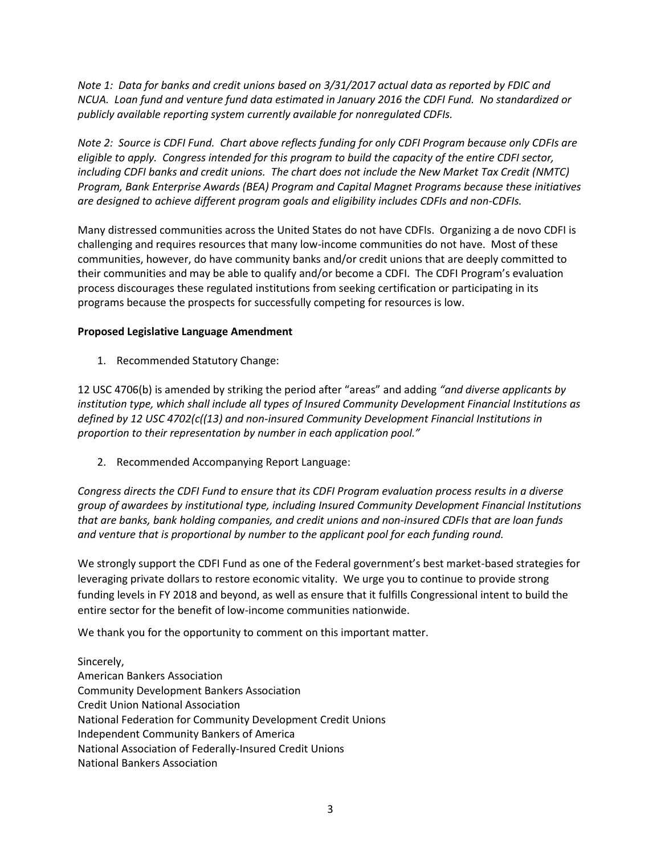*Note 1: Data for banks and credit unions based on 3/31/2017 actual data as reported by FDIC and NCUA. Loan fund and venture fund data estimated in January 2016 the CDFI Fund. No standardized or publicly available reporting system currently available for nonregulated CDFIs.*

*Note 2: Source is CDFI Fund. Chart above reflects funding for only CDFI Program because only CDFIs are eligible to apply. Congress intended for this program to build the capacity of the entire CDFI sector, including CDFI banks and credit unions. The chart does not include the New Market Tax Credit (NMTC) Program, Bank Enterprise Awards (BEA) Program and Capital Magnet Programs because these initiatives are designed to achieve different program goals and eligibility includes CDFIs and non-CDFIs.* 

Many distressed communities across the United States do not have CDFIs. Organizing a de novo CDFI is challenging and requires resources that many low-income communities do not have. Most of these communities, however, do have community banks and/or credit unions that are deeply committed to their communities and may be able to qualify and/or become a CDFI. The CDFI Program's evaluation process discourages these regulated institutions from seeking certification or participating in its programs because the prospects for successfully competing for resources is low.

## **Proposed Legislative Language Amendment**

1. Recommended Statutory Change:

12 USC 4706(b) is amended by striking the period after "areas" and adding *"and diverse applicants by institution type, which shall include all types of Insured Community Development Financial Institutions as defined by 12 USC 4702(c((13) and non-insured Community Development Financial Institutions in proportion to their representation by number in each application pool."*

2. Recommended Accompanying Report Language:

*Congress directs the CDFI Fund to ensure that its CDFI Program evaluation process results in a diverse group of awardees by institutional type, including Insured Community Development Financial Institutions that are banks, bank holding companies, and credit unions and non-insured CDFIs that are loan funds and venture that is proportional by number to the applicant pool for each funding round.*

We strongly support the CDFI Fund as one of the Federal government's best market-based strategies for leveraging private dollars to restore economic vitality. We urge you to continue to provide strong funding levels in FY 2018 and beyond, as well as ensure that it fulfills Congressional intent to build the entire sector for the benefit of low-income communities nationwide.

We thank you for the opportunity to comment on this important matter.

Sincerely, American Bankers Association Community Development Bankers Association Credit Union National Association National Federation for Community Development Credit Unions Independent Community Bankers of America National Association of Federally-Insured Credit Unions National Bankers Association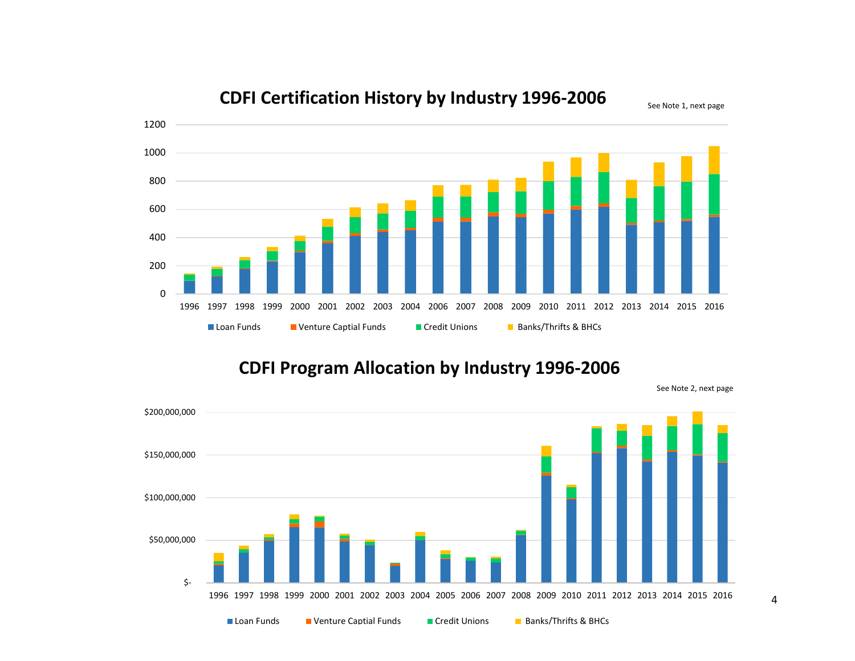

## **CDFI Certification History by Industry 1996-2006**

**CDFI Program Allocation by Industry 1996-2006**



See Note 2, next page